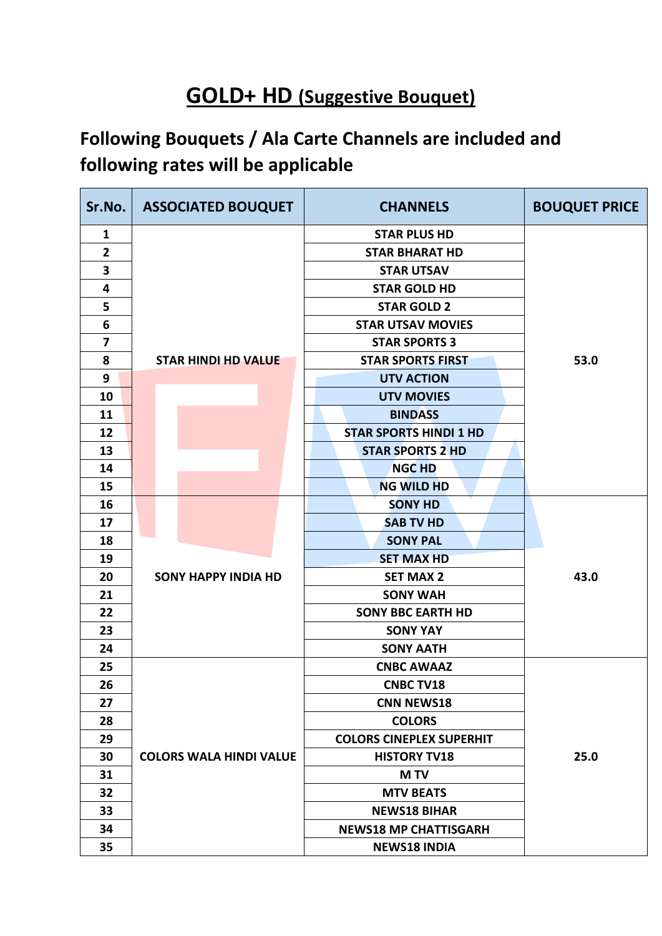## **GOLD+ HD (Suggestive Bouquet)**

## **Following Bouquets / Ala Carte Channels are included and following rates will be applicable**

| Sr.No.         | <b>ASSOCIATED BOUQUET</b>      | <b>CHANNELS</b>                 | <b>BOUQUET PRICE</b> |
|----------------|--------------------------------|---------------------------------|----------------------|
| $\mathbf{1}$   |                                | <b>STAR PLUS HD</b>             |                      |
| $\overline{2}$ |                                | <b>STAR BHARAT HD</b>           |                      |
| 3              |                                | <b>STAR UTSAV</b>               |                      |
| 4              |                                | <b>STAR GOLD HD</b>             |                      |
| 5              |                                | <b>STAR GOLD 2</b>              |                      |
| 6              |                                | <b>STAR UTSAV MOVIES</b>        |                      |
| 7              |                                | <b>STAR SPORTS 3</b>            |                      |
| 8              | <b>STAR HINDI HD VALUE</b>     | <b>STAR SPORTS FIRST</b>        | 53.0                 |
| 9              |                                | <b>UTV ACTION</b>               |                      |
| 10             |                                | <b>UTV MOVIES</b>               |                      |
| 11             |                                | <b>BINDASS</b>                  |                      |
| 12             |                                | <b>STAR SPORTS HINDI 1 HD</b>   |                      |
| 13             |                                | <b>STAR SPORTS 2 HD</b>         |                      |
| 14             |                                | <b>NGC HD</b>                   |                      |
| 15             |                                | <b>NG WILD HD</b>               |                      |
| 16             |                                | <b>SONY HD</b>                  |                      |
| 17             |                                | <b>SAB TV HD</b>                |                      |
| 18             |                                | <b>SONY PAL</b>                 |                      |
| 19             |                                | <b>SET MAX HD</b>               |                      |
| 20             | <b>SONY HAPPY INDIA HD</b>     | <b>SET MAX 2</b>                | 43.0                 |
| 21             |                                | <b>SONY WAH</b>                 |                      |
| 22             |                                | <b>SONY BBC EARTH HD</b>        |                      |
| 23             |                                | <b>SONY YAY</b>                 |                      |
| 24             |                                | <b>SONY AATH</b>                |                      |
| 25             |                                | <b>CNBC AWAAZ</b>               |                      |
| 26             |                                | <b>CNBC TV18</b>                |                      |
| 27             |                                | <b>CNN NEWS18</b>               |                      |
| 28             |                                | <b>COLORS</b>                   |                      |
| 29             |                                | <b>COLORS CINEPLEX SUPERHIT</b> |                      |
| 30             | <b>COLORS WALA HINDI VALUE</b> | <b>HISTORY TV18</b>             | 25.0                 |
| 31             |                                | <b>MTV</b>                      |                      |
| 32             |                                | <b>MTV BEATS</b>                |                      |
| 33             |                                | <b>NEWS18 BIHAR</b>             |                      |
| 34             |                                | <b>NEWS18 MP CHATTISGARH</b>    |                      |
| 35             |                                | <b>NEWS18 INDIA</b>             |                      |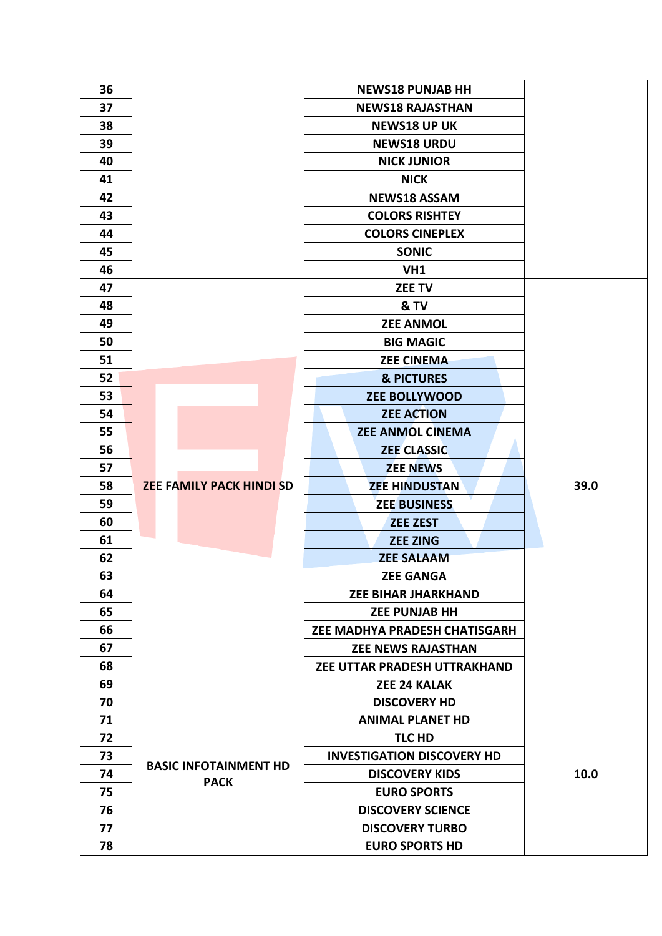| 36 |                                 | <b>NEWS18 PUNJAB HH</b>           |      |
|----|---------------------------------|-----------------------------------|------|
| 37 |                                 | <b>NEWS18 RAJASTHAN</b>           |      |
| 38 |                                 | <b>NEWS18 UP UK</b>               |      |
| 39 |                                 | <b>NEWS18 URDU</b>                |      |
| 40 |                                 | <b>NICK JUNIOR</b>                |      |
| 41 |                                 | <b>NICK</b>                       |      |
| 42 |                                 | <b>NEWS18 ASSAM</b>               |      |
| 43 |                                 | <b>COLORS RISHTEY</b>             |      |
| 44 |                                 | <b>COLORS CINEPLEX</b>            |      |
| 45 |                                 | <b>SONIC</b>                      |      |
| 46 |                                 | VH1                               |      |
| 47 |                                 | <b>ZEE TV</b>                     |      |
| 48 |                                 | & TV                              |      |
| 49 |                                 | <b>ZEE ANMOL</b>                  |      |
| 50 |                                 | <b>BIG MAGIC</b>                  |      |
| 51 |                                 | <b>ZEE CINEMA</b>                 |      |
| 52 |                                 | <b>&amp; PICTURES</b>             |      |
| 53 |                                 | <b>ZEE BOLLYWOOD</b>              |      |
| 54 |                                 | <b>ZEE ACTION</b>                 |      |
| 55 |                                 | <b>ZEE ANMOL CINEMA</b>           |      |
| 56 |                                 | <b>ZEE CLASSIC</b>                |      |
| 57 |                                 | <b>ZEE NEWS</b>                   |      |
| 58 | <b>ZEE FAMILY PACK HINDI SD</b> | <b>ZEE HINDUSTAN</b>              | 39.0 |
| 59 |                                 | <b>ZEE BUSINESS</b>               |      |
| 60 |                                 | <b>ZEE ZEST</b>                   |      |
| 61 |                                 | <b>ZEE ZING</b>                   |      |
| 62 |                                 | <b>ZEE SALAAM</b>                 |      |
| 63 |                                 | <b>ZEE GANGA</b>                  |      |
| 64 |                                 | <b>ZEE BIHAR JHARKHAND</b>        |      |
| 65 |                                 | <b>ZEE PUNJAB HH</b>              |      |
| 66 |                                 | ZEE MADHYA PRADESH CHATISGARH     |      |
| 67 |                                 | <b>ZEE NEWS RAJASTHAN</b>         |      |
| 68 |                                 | ZEE UTTAR PRADESH UTTRAKHAND      |      |
| 69 |                                 | <b>ZEE 24 KALAK</b>               |      |
| 70 |                                 | <b>DISCOVERY HD</b>               |      |
| 71 |                                 | <b>ANIMAL PLANET HD</b>           |      |
| 72 |                                 | TLC HD                            |      |
| 73 | <b>BASIC INFOTAINMENT HD</b>    | <b>INVESTIGATION DISCOVERY HD</b> |      |
| 74 | <b>PACK</b>                     | <b>DISCOVERY KIDS</b>             | 10.0 |
| 75 |                                 | <b>EURO SPORTS</b>                |      |
| 76 |                                 | <b>DISCOVERY SCIENCE</b>          |      |
| 77 |                                 | <b>DISCOVERY TURBO</b>            |      |
| 78 |                                 | <b>EURO SPORTS HD</b>             |      |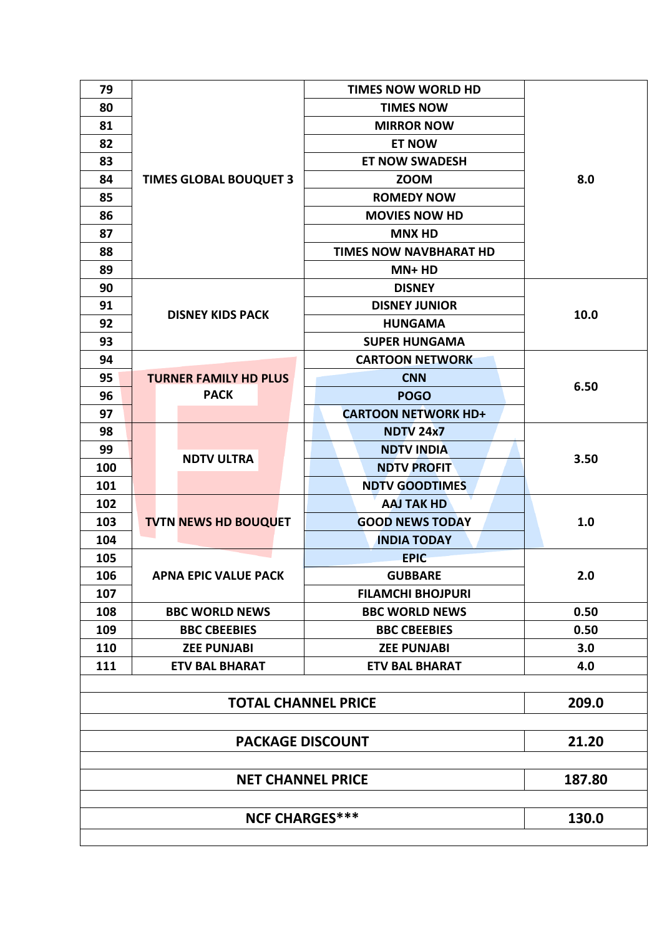| 79  |                               | <b>TIMES NOW WORLD HD</b>     |       |  |  |
|-----|-------------------------------|-------------------------------|-------|--|--|
| 80  |                               | <b>TIMES NOW</b>              | 8.0   |  |  |
| 81  |                               | <b>MIRROR NOW</b>             |       |  |  |
| 82  |                               | <b>ET NOW</b>                 |       |  |  |
| 83  |                               | <b>ET NOW SWADESH</b>         |       |  |  |
| 84  | <b>TIMES GLOBAL BOUQUET 3</b> | <b>ZOOM</b>                   |       |  |  |
| 85  |                               | <b>ROMEDY NOW</b>             |       |  |  |
| 86  |                               | <b>MOVIES NOW HD</b>          |       |  |  |
| 87  |                               | <b>MNX HD</b>                 |       |  |  |
| 88  |                               | <b>TIMES NOW NAVBHARAT HD</b> |       |  |  |
| 89  |                               | $MN+HD$                       |       |  |  |
| 90  |                               | <b>DISNEY</b>                 | 10.0  |  |  |
| 91  |                               | <b>DISNEY JUNIOR</b>          |       |  |  |
| 92  | <b>DISNEY KIDS PACK</b>       | <b>HUNGAMA</b>                |       |  |  |
| 93  |                               | <b>SUPER HUNGAMA</b>          |       |  |  |
| 94  |                               | <b>CARTOON NETWORK</b>        |       |  |  |
| 95  | <b>TURNER FAMILY HD PLUS</b>  | <b>CNN</b>                    | 6.50  |  |  |
| 96  | <b>PACK</b>                   | <b>POGO</b>                   |       |  |  |
| 97  |                               | <b>CARTOON NETWORK HD+</b>    |       |  |  |
| 98  |                               | <b>NDTV 24x7</b>              |       |  |  |
| 99  |                               | <b>NDTV INDIA</b>             |       |  |  |
| 100 | <b>NDTV ULTRA</b>             | <b>NDTV PROFIT</b>            | 3.50  |  |  |
| 101 |                               | <b>NDTV GOODTIMES</b>         |       |  |  |
| 102 |                               | <b>AAJ TAK HD</b>             |       |  |  |
| 103 | <b>TVTN NEWS HD BOUQUET</b>   | <b>GOOD NEWS TODAY</b>        | 1.0   |  |  |
| 104 |                               | <b>INDIA TODAY</b>            |       |  |  |
| 105 |                               | <b>EPIC</b>                   |       |  |  |
| 106 | <b>APNA EPIC VALUE PACK</b>   | <b>GUBBARE</b>                | 2.0   |  |  |
| 107 |                               | <b>FILAMCHI BHOJPURI</b>      |       |  |  |
| 108 | <b>BBC WORLD NEWS</b>         | <b>BBC WORLD NEWS</b>         | 0.50  |  |  |
| 109 | <b>BBC CBEEBIES</b>           | <b>BBC CBEEBIES</b>           | 0.50  |  |  |
| 110 | <b>ZEE PUNJABI</b>            | <b>ZEE PUNJABI</b>            | 3.0   |  |  |
| 111 | <b>ETV BAL BHARAT</b>         | <b>ETV BAL BHARAT</b>         | 4.0   |  |  |
|     |                               |                               |       |  |  |
|     | <b>TOTAL CHANNEL PRICE</b>    |                               | 209.0 |  |  |
|     |                               |                               |       |  |  |
|     | 21.20                         |                               |       |  |  |
|     |                               | <b>NET CHANNEL PRICE</b>      |       |  |  |
|     | 187.80                        |                               |       |  |  |
|     |                               |                               | 130.0 |  |  |
|     | <b>NCF CHARGES***</b>         |                               |       |  |  |
|     |                               |                               |       |  |  |